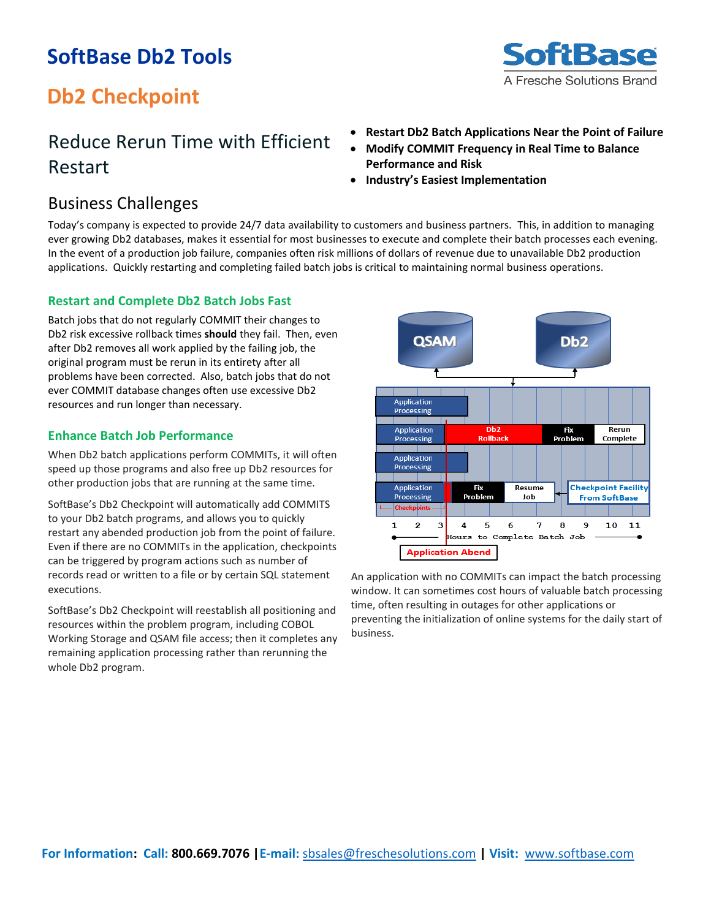### **SoftBase Db2 Tools**



## **Db2 Checkpoint**

### Reduce Rerun Time with Efficient Restart

- **Restart Db2 Batch Applications Near the Point of Failure**
- **Modify COMMIT Frequency in Real Time to Balance Performance and Risk**
- **Industry's Easiest Implementation**

### Business Challenges

Today's company is expected to provide 24/7 data availability to customers and business partners. This, in addition to managing ever growing Db2 databases, makes it essential for most businesses to execute and complete their batch processes each evening. In the event of a production job failure, companies often risk millions of dollars of revenue due to unavailable Db2 production applications. Quickly restarting and completing failed batch jobs is critical to maintaining normal business operations.

### **Restart and Complete Db2 Batch Jobs Fast**

Batch jobs that do not regularly COMMIT their changes to Db2 risk excessive rollback times **should** they fail. Then, even after Db2 removes all work applied by the failing job, the original program must be rerun in its entirety after all problems have been corrected. Also, batch jobs that do not ever COMMIT database changes often use excessive Db2 resources and run longer than necessary.

### **Enhance Batch Job Performance**

When Db2 batch applications perform COMMITs, it will often speed up those programs and also free up Db2 resources for other production jobs that are running at the same time.

SoftBase's Db2 Checkpoint will automatically add COMMITS to your Db2 batch programs, and allows you to quickly restart any abended production job from the point of failure. Even if there are no COMMITs in the application, checkpoints can be triggered by program actions such as number of records read or written to a file or by certain SQL statement executions.

SoftBase's Db2 Checkpoint will reestablish all positioning and resources within the problem program, including COBOL Working Storage and QSAM file access; then it completes any remaining application processing rather than rerunning the whole Db2 program.



An application with no COMMITs can impact the batch processing window. It can sometimes cost hours of valuable batch processing time, often resulting in outages for other applications or preventing the initialization of online systems for the daily start of business.